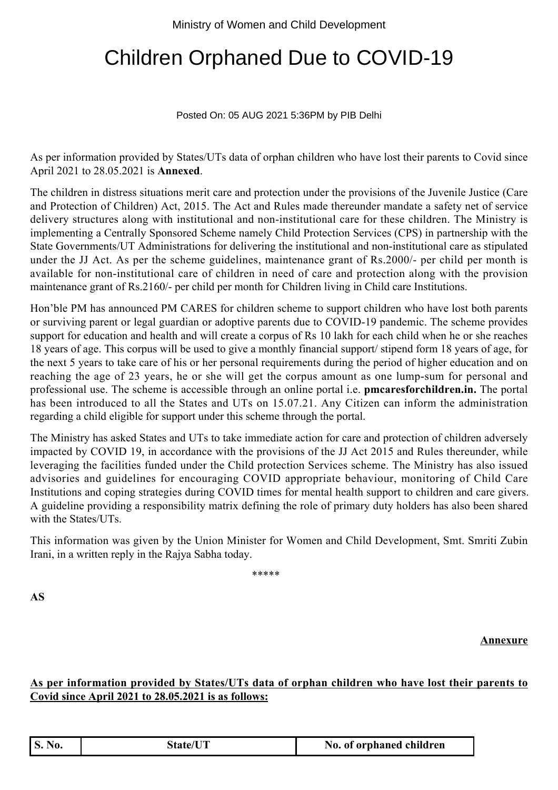## Children Orphaned Due to COVID-19

## Posted On: 05 AUG 2021 5:36PM by PIB Delhi

As per information provided by States/UTs data of orphan children who have lost their parents to Covid since April 2021 to 28.05.2021 is **Annexed**.

The children in distress situations merit care and protection under the provisions of the Juvenile Justice (Care and Protection of Children) Act, 2015. The Act and Rules made thereunder mandate a safety net of service delivery structures along with institutional and non-institutional care for these children. The Ministry is implementing a Centrally Sponsored Scheme namely Child Protection Services (CPS) in partnership with the State Governments/UT Administrations for delivering the institutional and non-institutional care as stipulated under the JJ Act. As per the scheme guidelines, maintenance grant of Rs.2000/- per child per month is available for non-institutional care of children in need of care and protection along with the provision maintenance grant of Rs.2160/- per child per month for Children living in Child care Institutions.

Hon'ble PM has announced PM CARES for children scheme to support children who have lost both parents or surviving parent or legal guardian or adoptive parents due to COVID-19 pandemic. The scheme provides support for education and health and will create a corpus of Rs 10 lakh for each child when he or she reaches 18 years of age. This corpus will be used to give a monthly financial support/ stipend form 18 years of age, for the next 5 years to take care of his or her personal requirements during the period of higher education and on reaching the age of 23 years, he or she will get the corpus amount as one lump-sum for personal and professional use. The scheme is accessible through an online portal i.e. **pmcaresforchildren.in.** The portal has been introduced to all the States and UTs on 15.07.21. Any Citizen can inform the administration regarding a child eligible for support under this scheme through the portal.

The Ministry has asked States and UTs to take immediate action for care and protection of children adversely impacted by COVID 19, in accordance with the provisions of the JJ Act 2015 and Rules thereunder, while leveraging the facilities funded under the Child protection Services scheme. The Ministry has also issued advisories and guidelines for encouraging COVID appropriate behaviour, monitoring of Child Care Institutions and coping strategies during COVID times for mental health support to children and care givers. A guideline providing a responsibility matrix defining the role of primary duty holders has also been shared with the States/UTs.

This information was given by the Union Minister for Women and Child Development, Smt. Smriti Zubin Irani, in a written reply in the Rajya Sabha today.

\*\*\*\*\*

**AS**

**Annexure**

## **As per information provided by States/UTs data of orphan children who have lost their parents to Covid since April 2021 to 28.05.2021 is as follows:**

|  | <b>S. No.</b> | <b>State/UT</b> | No. of orphaned children |
|--|---------------|-----------------|--------------------------|
|--|---------------|-----------------|--------------------------|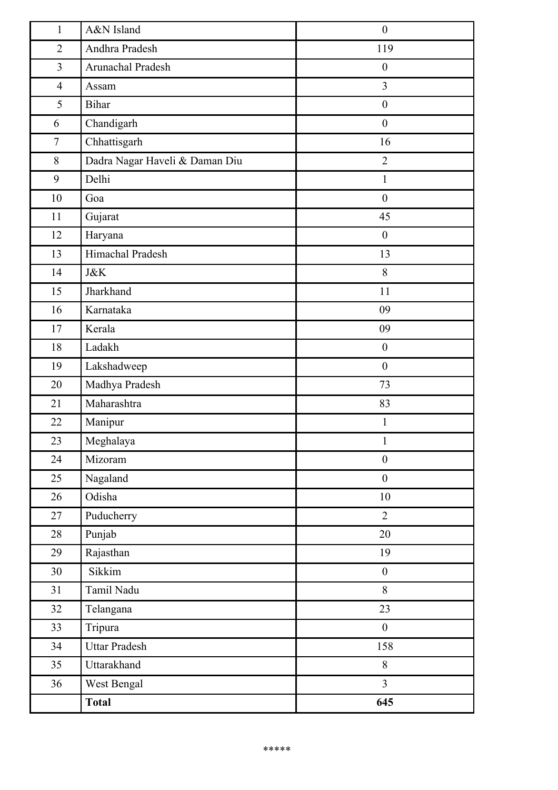| $\mathbf{1}$   | A&N Island                     | $\boldsymbol{0}$ |
|----------------|--------------------------------|------------------|
| $\overline{2}$ | Andhra Pradesh                 | 119              |
| $\overline{3}$ | Arunachal Pradesh              | $\boldsymbol{0}$ |
| $\overline{4}$ | Assam                          | $\overline{3}$   |
| 5              | <b>Bihar</b>                   | $\boldsymbol{0}$ |
| 6              | Chandigarh                     | $\boldsymbol{0}$ |
| $\tau$         | Chhattisgarh                   | 16               |
| 8              | Dadra Nagar Haveli & Daman Diu | $\overline{2}$   |
| 9              | Delhi                          | $\mathbf{1}$     |
| 10             | Goa                            | $\boldsymbol{0}$ |
| 11             | Gujarat                        | 45               |
| 12             | Haryana                        | $\boldsymbol{0}$ |
| 13             | Himachal Pradesh               | 13               |
| 14             | <b>J&amp;K</b>                 | 8                |
| 15             | Jharkhand                      | 11               |
| 16             | Karnataka                      | 09               |
| 17             | Kerala                         | 09               |
| 18             | Ladakh                         | $\boldsymbol{0}$ |
| 19             | Lakshadweep                    | $\boldsymbol{0}$ |
| 20             | Madhya Pradesh                 | 73               |
| 21             | Maharashtra                    | 83               |
| 22             | Manipur                        | $\mathbf{1}$     |
| 23             | Meghalaya                      | $\mathbf{1}$     |
| 24             | Mizoram                        | $\boldsymbol{0}$ |
| 25             | Nagaland                       | $\boldsymbol{0}$ |
| 26             | Odisha                         | 10               |
| 27             | Puducherry                     | $\overline{2}$   |
| $28\,$         | Punjab                         | 20               |
| 29             | Rajasthan                      | 19               |
| 30             | Sikkim                         | $\boldsymbol{0}$ |
| 31             | Tamil Nadu                     | 8                |
| 32             | Telangana                      | 23               |
| 33             | Tripura                        | $\boldsymbol{0}$ |
| 34             | <b>Uttar Pradesh</b>           | 158              |
| 35             | Uttarakhand                    | 8                |
| 36             | West Bengal                    | $\overline{3}$   |
|                | <b>Total</b>                   | 645              |